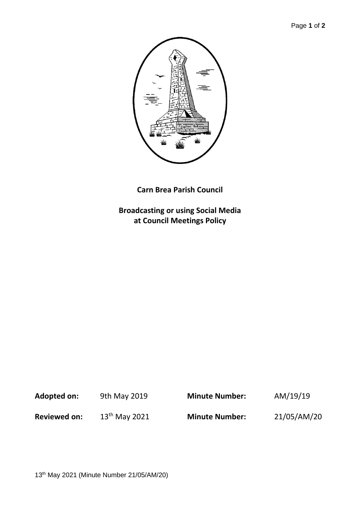

**Carn Brea Parish Council**

**Broadcasting or using Social Media at Council Meetings Policy**

| Adopted on:         | 9th May 2019       | <b>Minute Number:</b> | AM/19/19    |
|---------------------|--------------------|-----------------------|-------------|
| <b>Reviewed on:</b> | $13^{th}$ May 2021 | <b>Minute Number:</b> | 21/05/AM/20 |